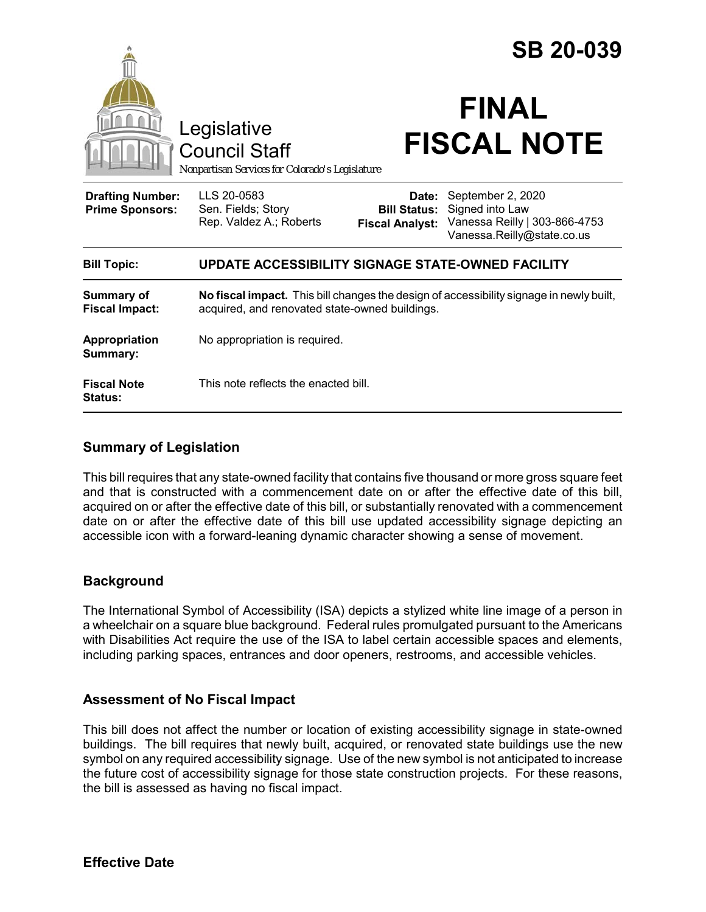|                                                   |                                                                                                                                           |                                                        | <b>SB 20-039</b>                                                                                    |
|---------------------------------------------------|-------------------------------------------------------------------------------------------------------------------------------------------|--------------------------------------------------------|-----------------------------------------------------------------------------------------------------|
|                                                   | Legislative<br><b>Council Staff</b><br>Nonpartisan Services for Colorado's Legislature                                                    |                                                        | <b>FINAL</b><br><b>FISCAL NOTE</b>                                                                  |
| <b>Drafting Number:</b><br><b>Prime Sponsors:</b> | LLS 20-0583<br>Sen. Fields; Story<br>Rep. Valdez A.; Roberts                                                                              | Date:<br><b>Bill Status:</b><br><b>Fiscal Analyst:</b> | September 2, 2020<br>Signed into Law<br>Vanessa Reilly   303-866-4753<br>Vanessa.Reilly@state.co.us |
| <b>Bill Topic:</b>                                | UPDATE ACCESSIBILITY SIGNAGE STATE-OWNED FACILITY                                                                                         |                                                        |                                                                                                     |
| <b>Summary of</b><br><b>Fiscal Impact:</b>        | No fiscal impact. This bill changes the design of accessibility signage in newly built,<br>acquired, and renovated state-owned buildings. |                                                        |                                                                                                     |
| <b>Appropriation</b><br>Summary:                  | No appropriation is required.                                                                                                             |                                                        |                                                                                                     |
| <b>Fiscal Note</b><br><b>Status:</b>              | This note reflects the enacted bill.                                                                                                      |                                                        |                                                                                                     |

## **Summary of Legislation**

This bill requires that any state-owned facility that contains five thousand or more gross square feet and that is constructed with a commencement date on or after the effective date of this bill, acquired on or after the effective date of this bill, or substantially renovated with a commencement date on or after the effective date of this bill use updated accessibility signage depicting an accessible icon with a forward-leaning dynamic character showing a sense of movement.

## **Background**

The International Symbol of Accessibility (ISA) depicts a stylized white line image of a person in a wheelchair on a square blue background. Federal rules promulgated pursuant to the Americans with Disabilities Act require the use of the ISA to label certain accessible spaces and elements, including parking spaces, entrances and door openers, restrooms, and accessible vehicles.

## **Assessment of No Fiscal Impact**

This bill does not affect the number or location of existing accessibility signage in state-owned buildings. The bill requires that newly built, acquired, or renovated state buildings use the new symbol on any required accessibility signage. Use of the new symbol is not anticipated to increase the future cost of accessibility signage for those state construction projects. For these reasons, the bill is assessed as having no fiscal impact.